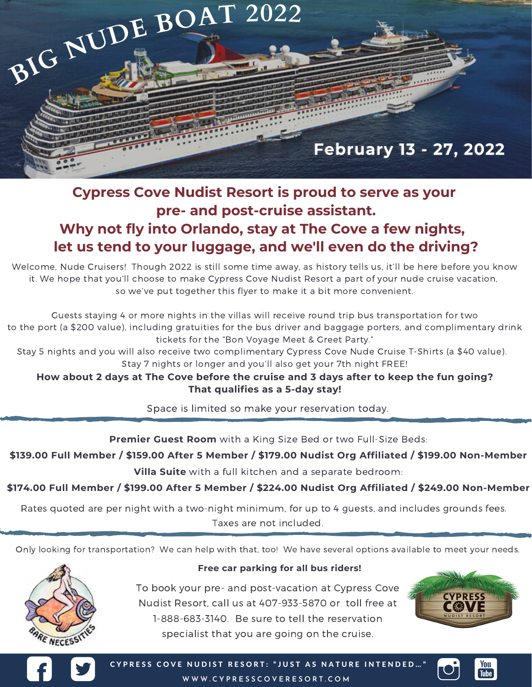

## **Cypress Cove Nudist Resort is proud to serve as your pre- and post-cruise assistant. Why not fly into Orlando, stay at The Cove a few nights,**

## **let us tend to your luggage, and we'll even do the driving?**

Welcome, Nude Cruisers! Though 2022 is still some time away, as history tells us, it'll be here before you know it. We hope that you'll choose to make Cypress Cove Nudist Resort a part of your nude cruise vacation, so we've put together this flyer to make it a bit more convenient.

Guests staying 4 or more nights in the villas will receive round trip bus transportation for two to the port (a \$200 value), including gratuities for the bus driver and baggage porters, and complimentary drink tickets for the "Bon Voyage Meet & Greet Party."

Stay 5 nights and you will also receive two complimentary Cypress Cove Nude Cruise T-Shirts (a \$40 value). Stay 7 nights or longer and you'll also get your 7th night FREE!

## **How about 2 days at The Cove before the cruise and 3 days after to keep the fun going? That qualifies as a 5-day stay!**

Space is limited so make your reservation today.

**Premier Guest Room** with a King Size Bed or two Full-Size Beds:

**\$139.00 Full Member / \$159.00 After 5 Member / \$179.00 Nudist Org Affiliated / \$199.00 Non-Member**

**Villa Suite** with a full kitchen and a separate bedroom:

**\$174.00 Full Member / \$199.00 After 5 Member / \$224.00 Nudist Org Affiliated / \$249.00 Non-Member**

Rates quoted are per night with a two-night minimum, for up to 4 guests, and includes grounds fees. Taxes are not included.

Only looking for transportation? We can help with that, too! We have several options available to meet your needs.



## **Free car parking for all bus riders!**

To book your pre- and post-vacation at Cypress Cove Nudist Resort, call us at 407-933-5870 or toll free at 1-888-683-3140. Be sure to tell the reservation specialist that you are going on the cruise.





CYPRESS COVE NUDIST RESORT: "JUST AS NATURE INTENDED... **W W W .C Y P R E S S C O V E R E S O R T . C O M**